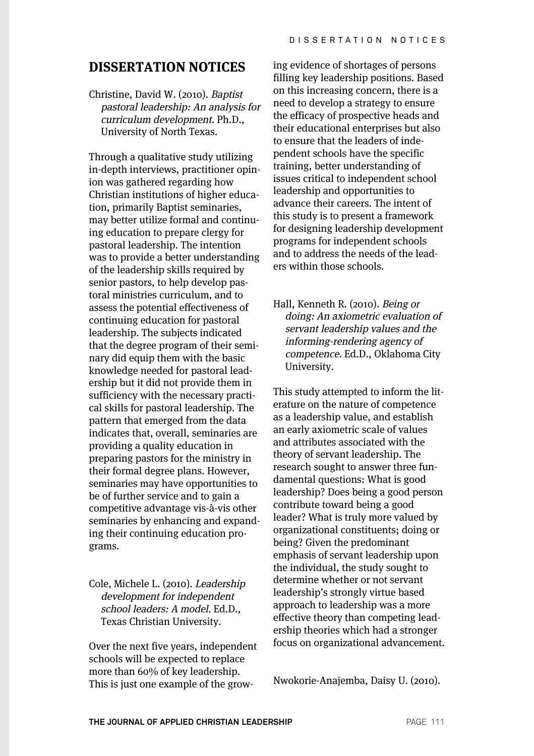## **DISSERTATION NOTICES**

Christine, David W. (2010). Baptist pastoral leadership: An analysis for curriculum development. Ph.D., University of North Texas.

Through a qualitative study utilizing in-depth interviews, practitioner opinion was gathered regarding how Christian institutions of higher education, primarily Baptist seminaries, may better utilize formal and continuing education to prepare clergy for pastoral leadership. The intention was to provide a better understanding of the leadership skills required by senior pastors, to help develop pastoral ministries curriculum, and to assess the potential effectiveness of continuing education for pastoral leadership. The subjects indicated that the degree program of their seminary did equip them with the basic knowledge needed for pastoral leadership but it did not provide them in sufficiency with the necessary practical skills for pastoral leadership. The pattern that emerged from the data indicates that, overall, seminaries are providing a quality education in preparing pastors for the ministry in their formal degree plans. However, seminaries may have opportunities to be of further service and to gain a competitive advantage vis-à-vis other seminaries by enhancing and expanding their continuing education programs.

## Cole, Michele L. (2010). Leadership development for independent school leaders: A model. Ed.D., Texas Christian University.

Over the next five years, independent schools will be expected to replace more than 60% of key leadership. This is just one example of the grow-

ing evidence of shortages of persons filling key leadership positions. Based on this increasing concern, there is a need to develop a strategy to ensure the efficacy of prospective heads and their educational enterprises but also to ensure that the leaders of independent schools have the specific training, better understanding of issues critical to independent school leadership and opportunities to advance their careers. The intent of this study is to present a framework for designing leadership development programs for independent schools and to address the needs of the leaders within those schools.

Hall, Kenneth R. (2010). Being or doing: An axiometric evaluation of servant leadership values and the informing-rendering agency of competence. Ed.D., Oklahoma City University.

This study attempted to inform the literature on the nature of competence as a leadership value, and establish an early axiometric scale of values and attributes associated with the theory of servant leadership. The research sought to answer three fundamental questions: What is good leadership? Does being a good person contribute toward being a good leader? What is truly more valued by organizational constituents; doing or being? Given the predominant emphasis of servant leadership upon the individual, the study sought to determine whether or not servant leadership's strongly virtue based approach to leadership was a more effective theory than competing leadership theories which had a stronger focus on organizational advancement.

Nwokorie-Anajemba, Daisy U. (2010).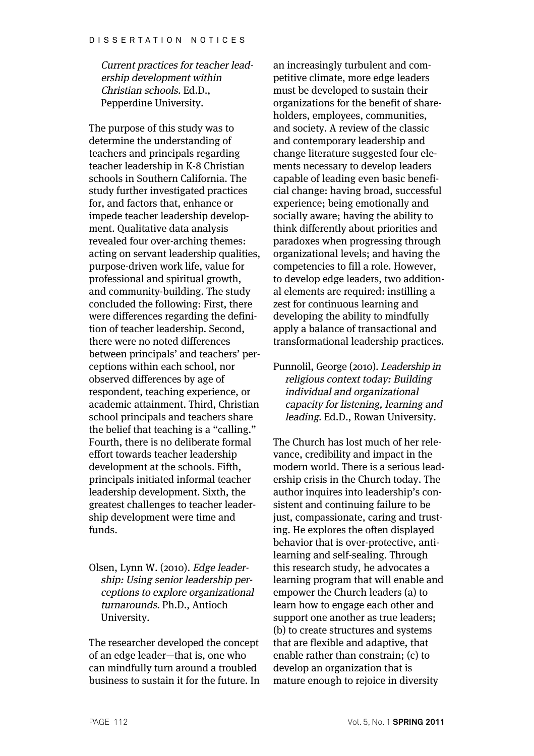Current practices for teacher leadership development within Christian schools. Ed.D., Pepperdine University.

The purpose of this study was to determine the understanding of teachers and principals regarding teacher leadership in K-8 Christian schools in Southern California. The study further investigated practices for, and factors that, enhance or impede teacher leadership development. Qualitative data analysis revealed four over-arching themes: acting on servant leadership qualities, purpose-driven work life, value for professional and spiritual growth, and community-building. The study concluded the following: First, there were differences regarding the definition of teacher leadership. Second, there were no noted differences between principals' and teachers' perceptions within each school, nor observed differences by age of respondent, teaching experience, or academic attainment. Third, Christian school principals and teachers share the belief that teaching is a "calling." Fourth, there is no deliberate formal effort towards teacher leadership development at the schools. Fifth, principals initiated informal teacher leadership development. Sixth, the greatest challenges to teacher leadership development were time and funds.

Olsen, Lynn W. (2010). Edge leadership: Using senior leadership perceptions to explore organizational turnarounds. Ph.D., Antioch University.

The researcher developed the concept of an edge leader—that is, one who can mindfully turn around a troubled business to sustain it for the future. In

an increasingly turbulent and competitive climate, more edge leaders must be developed to sustain their organizations for the benefit of shareholders, employees, communities, and society. A review of the classic and contemporary leadership and change literature suggested four elements necessary to develop leaders capable of leading even basic beneficial change: having broad, successful experience; being emotionally and socially aware; having the ability to think differently about priorities and paradoxes when progressing through organizational levels; and having the competencies to fill a role. However, to develop edge leaders, two additional elements are required: instilling a zest for continuous learning and developing the ability to mindfully apply a balance of transactional and transformational leadership practices.

Punnolil, George (2010). Leadership in religious context today: Building individual and organizational capacity for listening, learning and leading. Ed.D., Rowan University.

The Church has lost much of her relevance, credibility and impact in the modern world. There is a serious leadership crisis in the Church today. The author inquires into leadership's consistent and continuing failure to be just, compassionate, caring and trusting. He explores the often displayed behavior that is over-protective, antilearning and self-sealing. Through this research study, he advocates a learning program that will enable and empower the Church leaders (a) to learn how to engage each other and support one another as true leaders; (b) to create structures and systems that are flexible and adaptive, that enable rather than constrain; (c) to develop an organization that is mature enough to rejoice in diversity